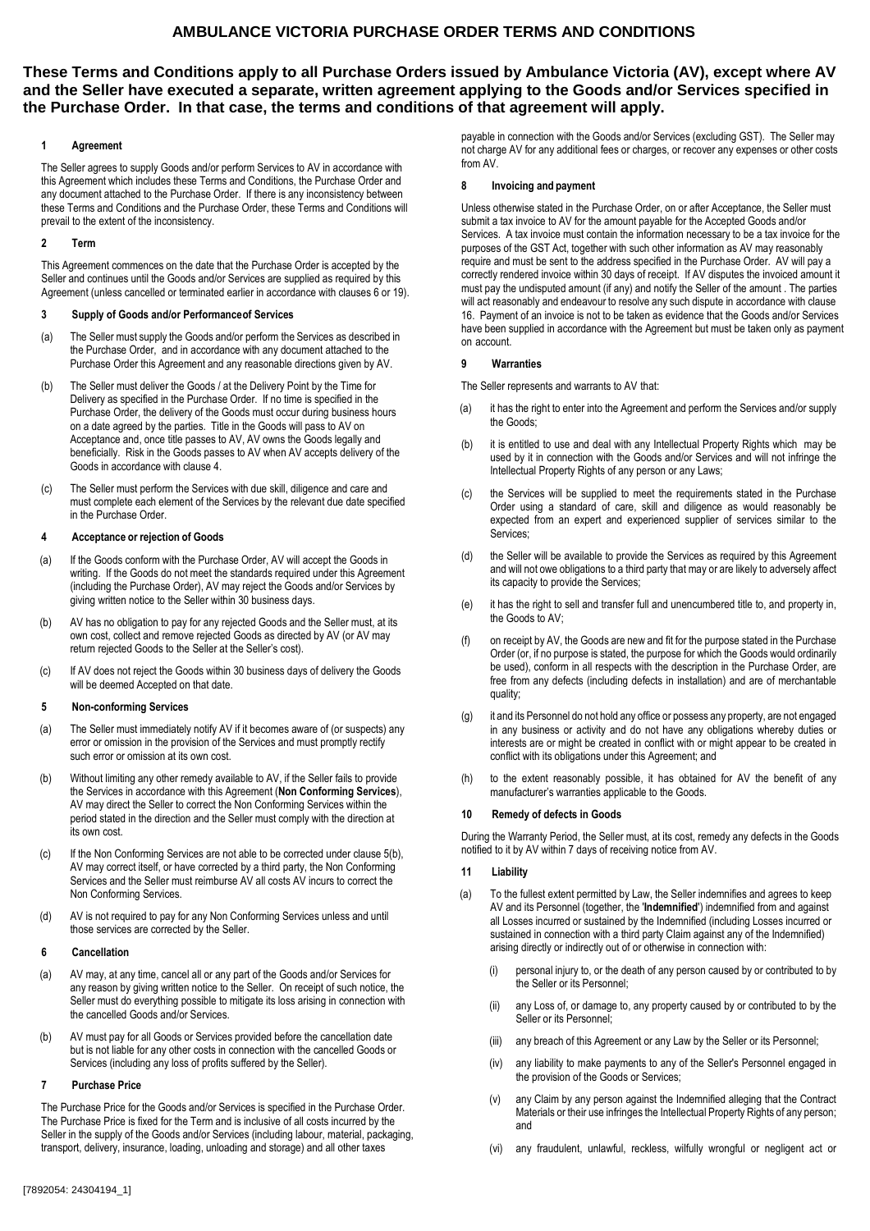# **These Terms and Conditions apply to all Purchase Orders issued by Ambulance Victoria (AV), except where AV and the Seller have executed a separate, written agreement applying to the Goods and/or Services specified in the Purchase Order. In that case, the terms and conditions of that agreement will apply.**

## **1 Agreement**

The Seller agrees to supply Goods and/or perform Services to AV in accordance with this Agreement which includes these Terms and Conditions, the Purchase Order and any document attached to the Purchase Order. If there is any inconsistency between these Terms and Conditions and the Purchase Order, these Terms and Conditions will prevail to the extent of the inconsistency.

## **2 Term**

This Agreement commences on the date that the Purchase Order is accepted by the Seller and continues until the Goods and/or Services are supplied as required by this Agreement (unless cancelled or terminated earlier in accordance with clauses 6 or 19).

## **3 Supply of Goods and/or Performance of Services**

- (a) The Seller must supply the Goods and/or perform the Services as described in the Purchase Order, and in accordance with any document attached to the Purchase Order this Agreement and any reasonable directions given by AV.
- (b) The Seller must deliver the Goods / at the Delivery Point by the Time for Delivery as specified in the Purchase Order. If no time is specified in the Purchase Order, the delivery of the Goods must occur during business hours on a date agreed by the parties. Title in the Goods will pass to AV on Acceptance and, once title passes to AV, AV owns the Goods legally and beneficially. Risk in the Goods passes to AV when AV accepts delivery of the Goods in accordance with clause 4.
- (c) The Seller must perform the Services with due skill, diligence and care and must complete each element of the Services by the relevant due date specified in the Purchase Order.

## **4 Acceptance or rejection of Goods**

- (a) If the Goods conform with the Purchase Order, AV will accept the Goods in writing. If the Goods do not meet the standards required under this Agreement (including the Purchase Order), AV may reject the Goods and/or Services by giving written notice to the Seller within 30 business days.
- (b) AV has no obligation to pay for any rejected Goods and the Seller must, at its own cost, collect and remove rejected Goods as directed by AV (or AV may return rejected Goods to the Seller at the Seller's cost).
- (c) If AV does not reject the Goods within 30 business days of delivery the Goods will be deemed Accepted on that date.

# **5 Non-conforming Services**

- (a) The Seller must immediately notify AV if it becomes aware of (or suspects) any error or omission in the provision of the Services and must promptly rectify such error or omission at its own cost.
- (b) Without limiting any other remedy available to AV, if the Seller fails to provide the Services in accordance with this Agreement (**Non Conforming Services**), AV may direct the Seller to correct the Non Conforming Services within the period stated in the direction and the Seller must comply with the direction at its own cost.
- (c) If the Non Conforming Services are not able to be corrected under clause 5(b), AV may correct itself, or have corrected by a third party, the Non Conforming Services and the Seller must reimburse AV all costs AV incurs to correct the Non Conforming Services.
- (d) AV is not required to pay for any Non Conforming Services unless and until those services are corrected by the Seller.

## **6 Cancellation**

- (a) AV may, at any time, cancel all or any part of the Goods and/or Services for any reason by giving written notice to the Seller. On receipt of such notice, the Seller must do everything possible to mitigate its loss arising in connection with the cancelled Goods and/or Services.
- (b) AV must pay for all Goods or Services provided before the cancellation date but is not liable for any other costs in connection with the cancelled Goods or Services (including any loss of profits suffered by the Seller).

## **7 Purchase Price**

The Purchase Price for the Goods and/or Services is specified in the Purchase Order. The Purchase Price is fixed for the Term and is inclusive of all costs incurred by the Seller in the supply of the Goods and/or Services (including labour, material, packaging, transport, delivery, insurance, loading, unloading and storage) and all other taxes

payable in connection with the Goods and/or Services (excluding GST). The Seller may not charge AV for any additional fees or charges, or recover any expenses or other costs from AV.

## **8 Invoicing and payment**

Unless otherwise stated in the Purchase Order, on or after Acceptance, the Seller must submit a tax invoice to AV for the amount payable for the Accepted Goods and/or Services. A tax invoice must contain the information necessary to be a tax invoice for the purposes of the GST Act, together with such other information as AV may reasonably require and must be sent to the address specified in the Purchase Order. AV will pay a correctly rendered invoice within 30 days of receipt. If AV disputes the invoiced amount it must pay the undisputed amount (if any) and notify the Seller of the amount . The parties will act reasonably and endeavour to resolve any such dispute in accordance with clause 16. Payment of an invoice is not to be taken as evidence that the Goods and/or Services have been supplied in accordance with the Agreement but must be taken only as payment on account.

## **9 Warranties**

The Seller represents and warrants to AV that:

- (a) it has the right to enter into the Agreement and perform the Services and/or supply the Goods;
- (b) it is entitled to use and deal with any Intellectual Property Rights which may be used by it in connection with the Goods and/or Services and will not infringe the Intellectual Property Rights of any person or any Laws;
- (c) the Services will be supplied to meet the requirements stated in the Purchase Order using a standard of care, skill and diligence as would reasonably be expected from an expert and experienced supplier of services similar to the Services;
- (d) the Seller will be available to provide the Services as required by this Agreement and will not owe obligations to a third party that may or are likely to adversely affect its capacity to provide the Services;
- (e) it has the right to sell and transfer full and unencumbered title to, and property in, the Goods to AV;
- (f) on receipt by AV, the Goods are new and fit for the purpose stated in the Purchase Order (or, if no purpose is stated, the purpose for which the Goods would ordinarily be used), conform in all respects with the description in the Purchase Order, are free from any defects (including defects in installation) and are of merchantable quality;
- (g) it and its Personnel do not hold any office or possess any property, are not engaged in any business or activity and do not have any obligations whereby duties or interests are or might be created in conflict with or might appear to be created in conflict with its obligations under this Agreement; and
- (h) to the extent reasonably possible, it has obtained for AV the benefit of any manufacturer's warranties applicable to the Goods.

# **10 Remedy of defects in Goods**

During the Warranty Period, the Seller must, at its cost, remedy any defects in the Goods notified to it by AV within 7 days of receiving notice from AV.

# **11 Liability**

- (a) To the fullest extent permitted by Law, the Seller indemnifies and agrees to keep AV and its Personnel (together, the '**Indemnified**') indemnified from and against all Losses incurred or sustained by the Indemnified (including Losses incurred or sustained in connection with a third party Claim against any of the Indemnified) arising directly or indirectly out of or otherwise in connection with:
	- (i) personal injury to, or the death of any person caused by or contributed to by the Seller or its Personnel;
	- (ii) any Loss of, or damage to, any property caused by or contributed to by the Seller or its Personnel;
	- (iii) any breach of this Agreement or any Law by the Seller or its Personnel;
	- (iv) any liability to make payments to any of the Seller's Personnel engaged in the provision of the Goods or Services;
	- (v) any Claim by any person against the Indemnified alleging that the Contract Materials or their use infringes the Intellectual Property Rights of any person; and
	- any fraudulent, unlawful, reckless, wilfully wrongful or negligent act or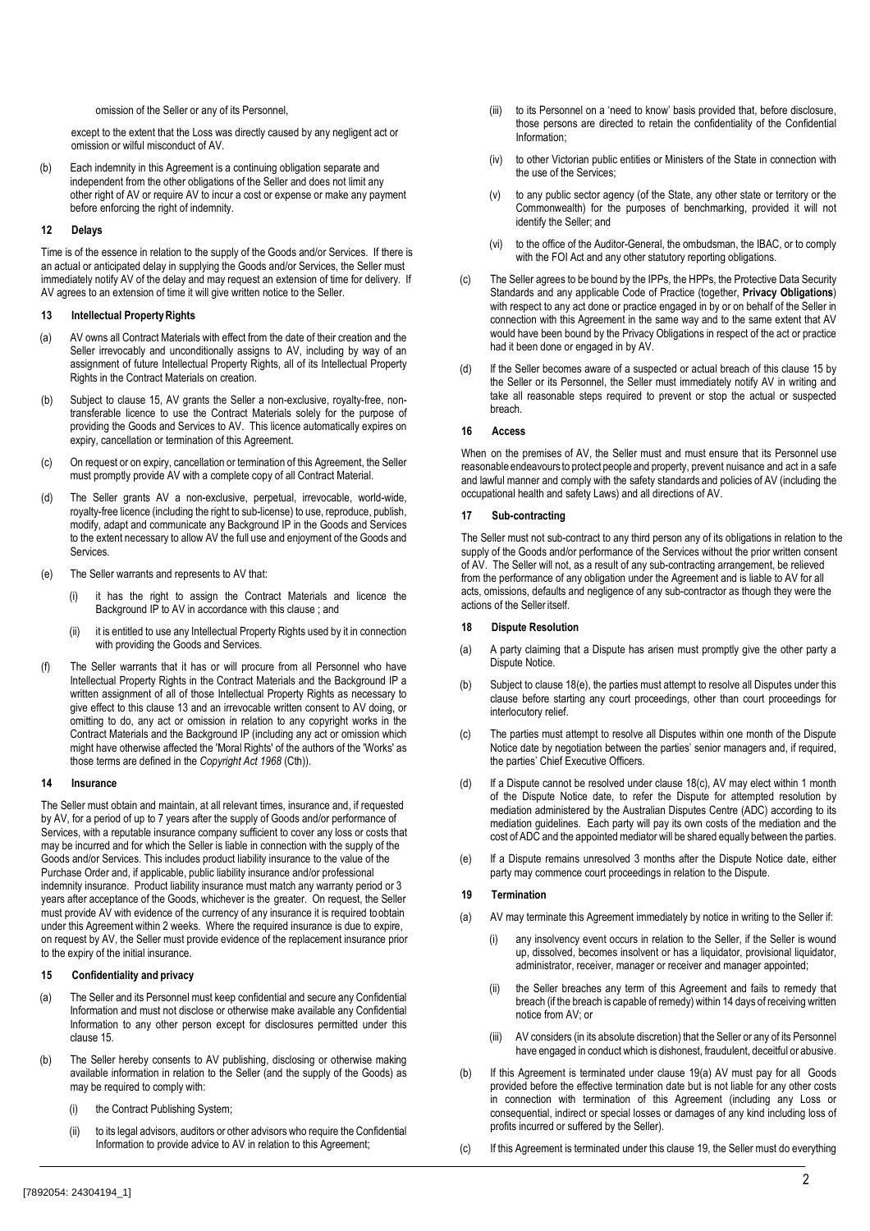#### omission of the Seller or any of its Personnel,

except to the extent that the Loss was directly caused by any negligent act or omission or wilful misconduct of AV.

(b) Each indemnity in this Agreement is a continuing obligation separate and independent from the other obligations of the Seller and does not limit any other right of AV or require AV to incur a cost or expense or make any payment before enforcing the right of indemnity.

### **12 Delays**

Time is of the essence in relation to the supply of the Goods and/or Services. If there is an actual or anticipated delay in supplying the Goods and/or Services, the Seller must immediately notify AV of the delay and may request an extension of time for delivery. If AV agrees to an extension of time it will give written notice to the Seller.

### **13 Intellectual Property Rights**

- (a) AV owns all Contract Materials with effect from the date of their creation and the Seller irrevocably and unconditionally assigns to AV, including by way of an assignment of future Intellectual Property Rights, all of its Intellectual Property Rights in the Contract Materials on creation.
- (b) Subject to clause 15, AV grants the Seller a non-exclusive, royalty-free, nontransferable licence to use the Contract Materials solely for the purpose of providing the Goods and Services to AV. This licence automatically expires on expiry, cancellation or termination of this Agreement.
- (c) On request or on expiry, cancellation or termination of this Agreement, the Seller must promptly provide AV with a complete copy of all Contract Material.
- (d) The Seller grants AV a non-exclusive, perpetual, irrevocable, world-wide, royalty-free licence (including the right to sub-license) to use, reproduce, publish, modify, adapt and communicate any Background IP in the Goods and Services to the extent necessary to allow AV the full use and enjoyment of the Goods and **Services**
- (e) The Seller warrants and represents to AV that:
	- (i) it has the right to assign the Contract Materials and licence the Background IP to AV in accordance with this clause ; and
	- (ii) it is entitled to use any Intellectual Property Rights used by it in connection with providing the Goods and Services.
- (f) The Seller warrants that it has or will procure from all Personnel who have Intellectual Property Rights in the Contract Materials and the Background IP a written assignment of all of those Intellectual Property Rights as necessary to give effect to this clause 13 and an irrevocable written consent to AV doing, or omitting to do, any act or omission in relation to any copyright works in the Contract Materials and the Background IP (including any act or omission which might have otherwise affected the 'Moral Rights' of the authors of the 'Works' as those terms are defined in the *Copyright Act 1968* (Cth)).

### **14 Insurance**

The Seller must obtain and maintain, at all relevant times, insurance and, if requested by AV, for a period of up to 7 years after the supply of Goods and/or performance of Services, with a reputable insurance company sufficient to cover any loss or costs that may be incurred and for which the Seller is liable in connection with the supply of the Goods and/or Services. This includes product liability insurance to the value of the Purchase Order and, if applicable, public liability insurance and/or professional indemnity insurance. Product liability insurance must match any warranty period or 3 years after acceptance of the Goods, whichever is the greater. On request, the Seller must provide AV with evidence of the currency of any insurance it is required to obtain under this Agreement within 2 weeks. Where the required insurance is due to expire, on request by AV, the Seller must provide evidence of the replacement insurance prior to the expiry of the initial insurance.

### **15 Confidentiality and privacy**

- (a) The Seller and its Personnel must keep confidential and secure any Confidential Information and must not disclose or otherwise make available any Confidential Information to any other person except for disclosures permitted under this clause 15.
- (b) The Seller hereby consents to AV publishing, disclosing or otherwise making available information in relation to the Seller (and the supply of the Goods) as may be required to comply with:
	- (i) the Contract Publishing System;
	- (ii) to its legal advisors, auditors or other advisors who require the Confidential Information to provide advice to AV in relation to this Agreement;
- to its Personnel on a 'need to know' basis provided that, before disclosure, those persons are directed to retain the confidentiality of the Confidential Information;
- (iv) to other Victorian public entities or Ministers of the State in connection with the use of the Services;
- (v) to any public sector agency (of the State, any other state or territory or the Commonwealth) for the purposes of benchmarking, provided it will not identify the Seller; and
- (vi) to the office of the Auditor-General, the ombudsman, the IBAC, or to comply with the FOI Act and any other statutory reporting obligations.
- (c) The Seller agrees to be bound by the IPPs, the HPPs, the Protective Data Security Standards and any applicable Code of Practice (together, **Privacy Obligations**) with respect to any act done or practice engaged in by or on behalf of the Seller in connection with this Agreement in the same way and to the same extent that AV would have been bound by the Privacy Obligations in respect of the act or practice had it been done or engaged in by AV.
- (d) If the Seller becomes aware of a suspected or actual breach of this clause 15 by the Seller or its Personnel, the Seller must immediately notify AV in writing and take all reasonable steps required to prevent or stop the actual or suspected breach.

### **16 Access**

When on the premises of AV, the Seller must and must ensure that its Personnel use reasonable endeavours to protect people and property, prevent nuisance and act in a safe and lawful manner and comply with the safety standards and policies of AV (including the occupational health and safety Laws) and all directions of AV.

#### **17 Sub-contracting**

The Seller must not sub-contract to any third person any of its obligations in relation to the supply of the Goods and/or performance of the Services without the prior written consent of AV. The Seller will not, as a result of any sub-contracting arrangement, be relieved from the performance of any obligation under the Agreement and is liable to AV for all acts, omissions, defaults and negligence of any sub-contractor as though they were the actions of the Seller itself.

### **18 Dispute Resolution**

- (a) A party claiming that a Dispute has arisen must promptly give the other party a Dispute Notice.
- (b) Subject to clause 18(e), the parties must attempt to resolve all Disputes under this clause before starting any court proceedings, other than court proceedings for interlocutory relief.
- (c) The parties must attempt to resolve all Disputes within one month of the Dispute Notice date by negotiation between the parties' senior managers and, if required, the parties' Chief Executive Officers.
- (d) If a Dispute cannot be resolved under clause 18(c), AV may elect within 1 month of the Dispute Notice date, to refer the Dispute for attempted resolution by mediation administered by the Australian Disputes Centre (ADC) according to its mediation guidelines. Each party will pay its own costs of the mediation and the cost of ADC and the appointed mediator will be shared equally between the parties.
- (e) If a Dispute remains unresolved 3 months after the Dispute Notice date, either party may commence court proceedings in relation to the Dispute.

### **19 Termination**

- (a) AV may terminate this Agreement immediately by notice in writing to the Seller if:
	- any insolvency event occurs in relation to the Seller, if the Seller is wound up, dissolved, becomes insolvent or has a liquidator, provisional liquidator, administrator, receiver, manager or receiver and manager appointed;
	- (ii) the Seller breaches any term of this Agreement and fails to remedy that breach (if the breach is capable of remedy) within 14 days of receiving written notice from AV; or
	- (iii) AV considers (in its absolute discretion) that the Seller or any of its Personnel have engaged in conduct which is dishonest, fraudulent, deceitful or abusive.
- (b) If this Agreement is terminated under clause 19(a) AV must pay for all Goods provided before the effective termination date but is not liable for any other costs in connection with termination of this Agreement (including any Loss or consequential, indirect or special losses or damages of any kind including loss of profits incurred or suffered by the Seller).
- (c) If this Agreement is terminated under this clause 19, the Seller must do everything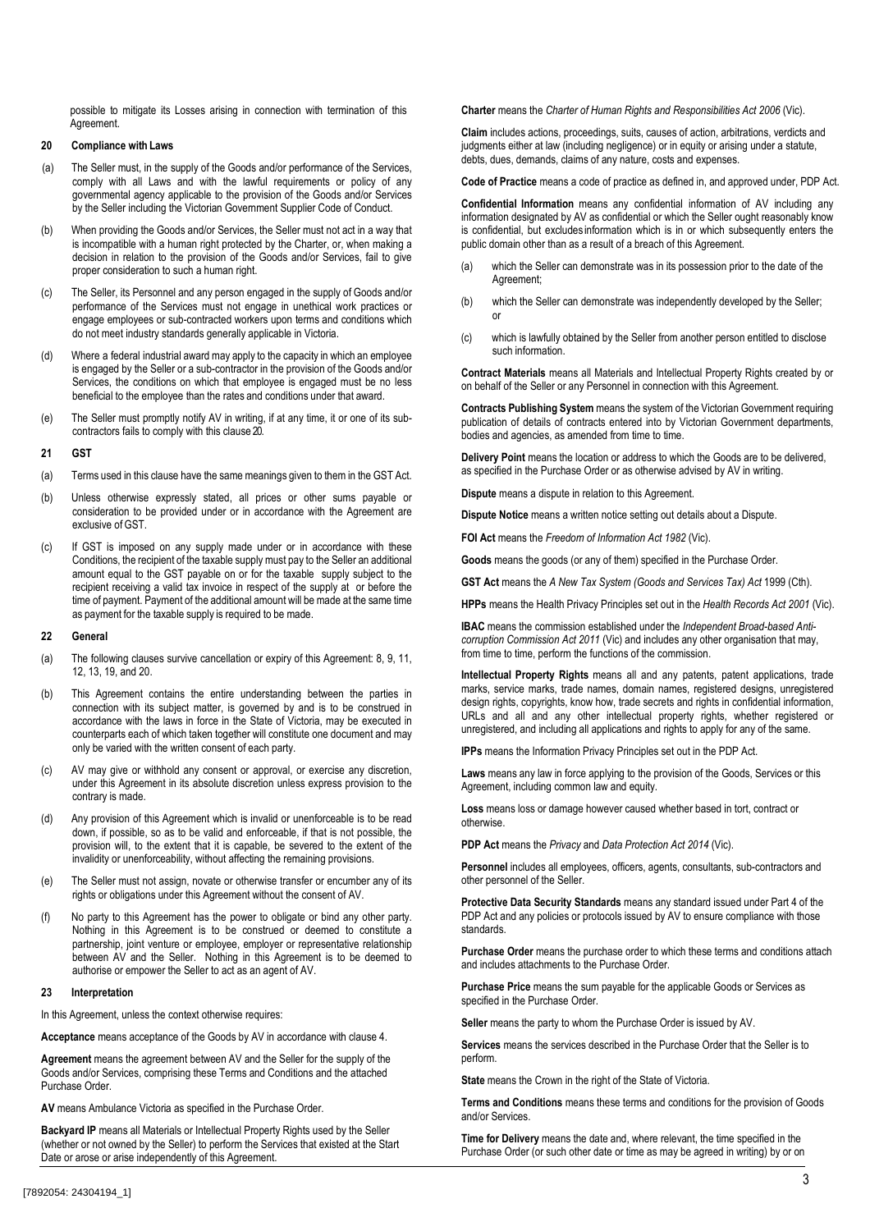possible to mitigate its Losses arising in connection with termination of this Agreement.

### **20 Compliance with Laws**

- (a) The Seller must, in the supply of the Goods and/or performance of the Services, comply with all Laws and with the lawful requirements or policy of any governmental agency applicable to the provision of the Goods and/or Services by the Seller including the Victorian Government Supplier Code of Conduct.
- (b) When providing the Goods and/or Services, the Seller must not act in a way that is incompatible with a human right protected by the Charter, or, when making a decision in relation to the provision of the Goods and/or Services, fail to give proper consideration to such a human right.
- (c) The Seller, its Personnel and any person engaged in the supply of Goods and/or performance of the Services must not engage in unethical work practices or engage employees or sub-contracted workers upon terms and conditions which do not meet industry standards generally applicable in Victoria.
- (d) Where a federal industrial award may apply to the capacity in which an employee is engaged by the Seller or a sub-contractor in the provision of the Goods and/or Services, the conditions on which that employee is engaged must be no less beneficial to the employee than the rates and conditions under that award.
- (e) The Seller must promptly notify AV in writing, if at any time, it or one of its subcontractors fails to comply with this clause 20.

#### **21 GST**

- (a) Terms used in this clause have the same meanings given to them in the GST Act.
- (b) Unless otherwise expressly stated, all prices or other sums payable or consideration to be provided under or in accordance with the Agreement are exclusive of GST.
- (c) If GST is imposed on any supply made under or in accordance with these Conditions, the recipient of the taxable supply must pay to the Seller an additional amount equal to the GST payable on or for the taxable supply subject to the recipient receiving a valid tax invoice in respect of the supply at or before the time of payment. Payment of the additional amount will be made at the same time as payment for the taxable supply is required to be made.

#### **22 General**

- (a) The following clauses survive cancellation or expiry of this Agreement: 8, 9, 11, 12, 13, 19, and 20.
- (b) This Agreement contains the entire understanding between the parties in connection with its subject matter, is governed by and is to be construed in accordance with the laws in force in the State of Victoria, may be executed in counterparts each of which taken together will constitute one document and may only be varied with the written consent of each party.
- (c) AV may give or withhold any consent or approval, or exercise any discretion, under this Agreement in its absolute discretion unless express provision to the contrary is made.
- (d) Any provision of this Agreement which is invalid or unenforceable is to be read down, if possible, so as to be valid and enforceable, if that is not possible, the provision will, to the extent that it is capable, be severed to the extent of the invalidity or unenforceability, without affecting the remaining provisions.
- (e) The Seller must not assign, novate or otherwise transfer or encumber any of its rights or obligations under this Agreement without the consent of AV.
- (f) No party to this Agreement has the power to obligate or bind any other party. Nothing in this Agreement is to be construed or deemed to constitute a partnership, joint venture or employee, employer or representative relationship between AV and the Seller. Nothing in this Agreement is to be deemed to authorise or empower the Seller to act as an agent of AV.

#### **23 Interpretation**

In this Agreement, unless the context otherwise requires:

**Acceptance** means acceptance of the Goods by AV in accordance with clause 4.

**Agreement** means the agreement between AV and the Seller for the supply of the Goods and/or Services, comprising these Terms and Conditions and the attached Purchase Order.

**AV** means Ambulance Victoria as specified in the Purchase Order.

**Backyard IP** means all Materials or Intellectual Property Rights used by the Seller (whether or not owned by the Seller) to perform the Services that existed at the Start Date or arose or arise independently of this Agreement.

**Charter** means the *Charter of Human Rights and Responsibilities Act 2006* (Vic).

**Claim** includes actions, proceedings, suits, causes of action, arbitrations, verdicts and judgments either at law (including negligence) or in equity or arising under a statute, debts, dues, demands, claims of any nature, costs and expenses.

**Code of Practice** means a code of practice as defined in, and approved under, PDP Act.

**Confidential Information** means any confidential information of AV including any information designated by AV as confidential or which the Seller ought reasonably know is confidential, but excludes information which is in or which subsequently enters the public domain other than as a result of a breach of this Agreement.

- (a) which the Seller can demonstrate was in its possession prior to the date of the Agreement;
- (b) which the Seller can demonstrate was independently developed by the Seller; or
- (c) which is lawfully obtained by the Seller from another person entitled to disclose such information.

**Contract Materials** means all Materials and Intellectual Property Rights created by or on behalf of the Seller or any Personnel in connection with this Agreement.

**Contracts Publishing System** means the system of the Victorian Government requiring publication of details of contracts entered into by Victorian Government departments, bodies and agencies, as amended from time to time.

**Delivery Point** means the location or address to which the Goods are to be delivered, as specified in the Purchase Order or as otherwise advised by AV in writing.

**Dispute** means a dispute in relation to this Agreement.

**Dispute Notice** means a written notice setting out details about a Dispute.

**FOI Act** means the *Freedom of Information Act 1982* (Vic).

**Goods** means the goods (or any of them) specified in the Purchase Order.

**GST Act** means the *A New Tax System (Goods and Services Tax) Act* 1999 (Cth).

**HPPs** means the Health Privacy Principles set out in the *Health Records Act 2001* (Vic).

**IBAC** means the commission established under the *Independent Broad-based Anticorruption Commission Act 2011* (Vic) and includes any other organisation that may, from time to time, perform the functions of the commission.

**Intellectual Property Rights** means all and any patents, patent applications, trade marks, service marks, trade names, domain names, registered designs, unregistered design rights, copyrights, know how, trade secrets and rights in confidential information, URLs and all and any other intellectual property rights, whether registered or unregistered, and including all applications and rights to apply for any of the same.

**IPPs** means the Information Privacy Principles set out in the PDP Act.

**Laws** means any law in force applying to the provision of the Goods, Services or this Agreement, including common law and equity.

**Loss** means loss or damage however caused whether based in tort, contract or otherwise.

**PDP Act** means the *Privacy* and *Data Protection Act 2014* (Vic).

**Personnel** includes all employees, officers, agents, consultants, sub-contractors and other personnel of the Seller.

**Protective Data Security Standards** means any standard issued under Part 4 of the PDP Act and any policies or protocols issued by AV to ensure compliance with those standards.

**Purchase Order** means the purchase order to which these terms and conditions attach and includes attachments to the Purchase Order.

**Purchase Price** means the sum payable for the applicable Goods or Services as specified in the Purchase Order.

**Seller** means the party to whom the Purchase Order is issued by AV.

**Services** means the services described in the Purchase Order that the Seller is to perform.

**State** means the Crown in the right of the State of Victoria.

**Terms and Conditions** means these terms and conditions for the provision of Goods and/or Services.

**Time for Delivery** means the date and, where relevant, the time specified in the Purchase Order (or such other date or time as may be agreed in writing) by or on